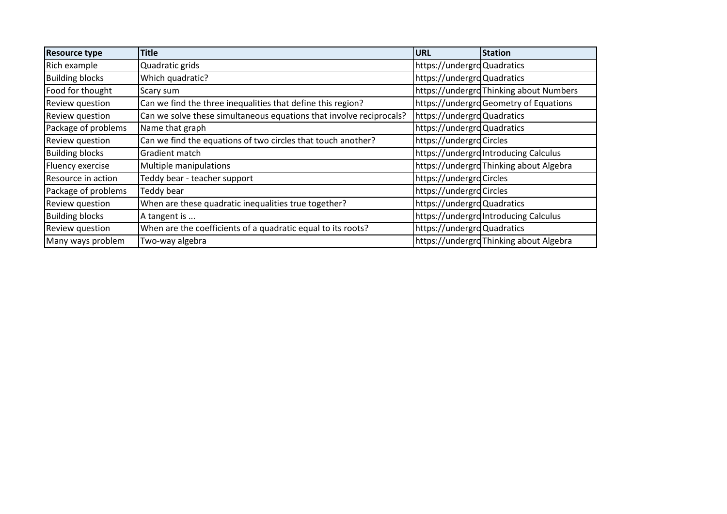| <b>Resource type</b>   | <b>Title</b>                                                        | <b>URL</b>                 | <b>Station</b>                          |
|------------------------|---------------------------------------------------------------------|----------------------------|-----------------------------------------|
| Rich example           | Quadratic grids                                                     | https://undergroQuadratics |                                         |
| <b>Building blocks</b> | Which quadratic?                                                    | https://undergroQuadratics |                                         |
| Food for thought       | Scary sum                                                           |                            | https://undergrdThinking about Numbers  |
| Review question        | Can we find the three inequalities that define this region?         |                            | https://undergroGeometry of Equations   |
| Review question        | Can we solve these simultaneous equations that involve reciprocals? | https://undergroQuadratics |                                         |
| Package of problems    | Name that graph                                                     | https://undergroQuadratics |                                         |
| Review question        | Can we find the equations of two circles that touch another?        | https://undergroCircles    |                                         |
| <b>Building blocks</b> | Gradient match                                                      |                            | https://undergrolntroducing Calculus    |
| Fluency exercise       | Multiple manipulations                                              |                            | https://undergrdThinking about Algebra  |
| Resource in action     | Teddy bear - teacher support                                        | https://undergroCircles    |                                         |
| Package of problems    | Teddy bear                                                          | https://undergroCircles    |                                         |
| Review question        | When are these quadratic inequalities true together?                | https://undergroQuadratics |                                         |
| <b>Building blocks</b> | A tangent is                                                        |                            | https://undergrolntroducing Calculus    |
| Review question        | When are the coefficients of a quadratic equal to its roots?        | https://undergroQuadratics |                                         |
| Many ways problem      | Two-way algebra                                                     |                            | https://undergrd Thinking about Algebra |